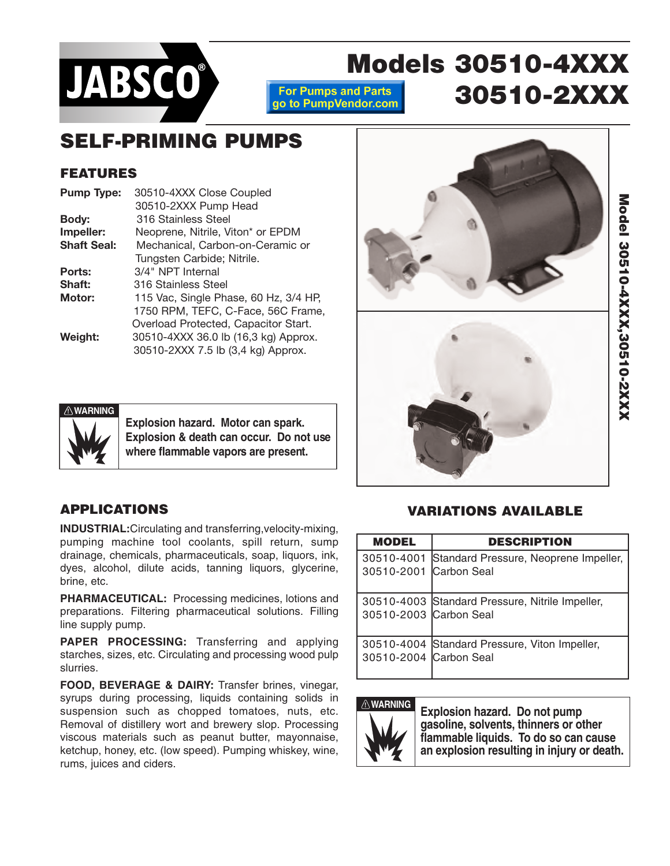

**Models 30510-4XXX For Pumps and Parts 30510-2XXX**go to PumpVendor.com

# **SELF-PRIMING PUMPS**

### **FEATURES**

| <b>Pump Type:</b>  | 30510-4XXX Close Coupled              |  |  |  |
|--------------------|---------------------------------------|--|--|--|
|                    | 30510-2XXX Pump Head                  |  |  |  |
| Body:              | 316 Stainless Steel                   |  |  |  |
| Impeller:          | Neoprene, Nitrile, Viton* or EPDM     |  |  |  |
| <b>Shaft Seal:</b> | Mechanical, Carbon-on-Ceramic or      |  |  |  |
|                    | Tungsten Carbide; Nitrile.            |  |  |  |
| Ports:             | 3/4" NPT Internal                     |  |  |  |
| Shaft:             | 316 Stainless Steel                   |  |  |  |
| <b>Motor:</b>      | 115 Vac, Single Phase, 60 Hz, 3/4 HP, |  |  |  |
|                    | 1750 RPM, TEFC, C-Face, 56C Frame,    |  |  |  |
|                    | Overload Protected, Capacitor Start.  |  |  |  |
| Weight:            | 30510-4XXX 36.0 lb (16,3 kg) Approx.  |  |  |  |
|                    | 30510-2XXX 7.5 lb (3,4 kg) Approx.    |  |  |  |
|                    |                                       |  |  |  |







**Explosion hazard. Motor can spark. Explosion & death can occur. Do not use where flammable vapors are present.**

## **APPLICATIONS**

**INDUSTRIAL:**Circulating and transferring,velocity-mixing, pumping machine tool coolants, spill return, sump drainage, chemicals, pharmaceuticals, soap, liquors, ink, dyes, alcohol, dilute acids, tanning liquors, glycerine, brine, etc.

**PHARMACEUTICAL:** Processing medicines, lotions and preparations. Filtering pharmaceutical solutions. Filling line supply pump.

**PAPER PROCESSING:** Transferring and applying starches, sizes, etc. Circulating and processing wood pulp slurries.

**FOOD, BEVERAGE & DAIRY:** Transfer brines, vinegar, syrups during processing, liquids containing solids in suspension such as chopped tomatoes, nuts, etc. Removal of distillery wort and brewery slop. Processing viscous materials such as peanut butter, mayonnaise, ketchup, honey, etc. (low speed). Pumping whiskey, wine, rums, juices and ciders.

### **VARIATIONS AVAILABLE**

| <b>MODEL</b>           | <b>DESCRIPTION</b>                               |  |  |  |  |
|------------------------|--------------------------------------------------|--|--|--|--|
| 30510-2001 Carbon Seal | 30510-4001 Standard Pressure, Neoprene Impeller, |  |  |  |  |
| 30510-2003 Carbon Seal | 30510-4003 Standard Pressure, Nitrile Impeller,  |  |  |  |  |
| 30510-2004 Carbon Seal | 30510-4004 Standard Pressure, Viton Impeller,    |  |  |  |  |



**WARNING Explosion hazard. Do not pump gasoline, solvents, thinners or other flammable liquids. To do so can cause an explosion resulting in injury or death.**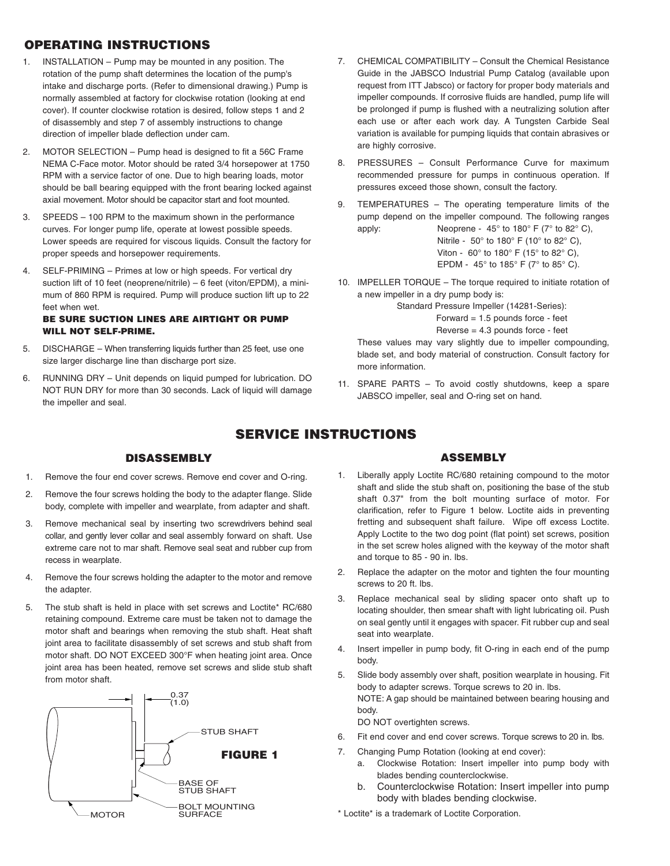### **OPERATING INSTRUCTIONS**

- 1. INSTALLATION Pump may be mounted in any position. The rotation of the pump shaft determines the location of the pump's intake and discharge ports. (Refer to dimensional drawing.) Pump is normally assembled at factory for clockwise rotation (looking at end cover). If counter clockwise rotation is desired, follow steps 1 and 2 of disassembly and step 7 of assembly instructions to change direction of impeller blade deflection under cam.
- 2. MOTOR SELECTION Pump head is designed to fit a 56C Frame NEMA C-Face motor. Motor should be rated 3/4 horsepower at 1750 RPM with a service factor of one. Due to high bearing loads, motor should be ball bearing equipped with the front bearing locked against axial movement. Motor should be capacitor start and foot mounted.
- 3. SPEEDS 100 RPM to the maximum shown in the performance curves. For longer pump life, operate at lowest possible speeds. Lower speeds are required for viscous liquids. Consult the factory for proper speeds and horsepower requirements.
- 4. SELF-PRIMING Primes at low or high speeds. For vertical dry suction lift of 10 feet (neoprene/nitrile) – 6 feet (viton/EPDM), a minimum of 860 RPM is required. Pump will produce suction lift up to 22 feet when wet.

#### **BE SURE SUCTION LINES ARE AIRTIGHT OR PUMP WILL NOT SELF-PRIME.**

- 5. DISCHARGE When transferring liquids further than 25 feet, use one size larger discharge line than discharge port size.
- 6. RUNNING DRY Unit depends on liquid pumped for lubrication. DO NOT RUN DRY for more than 30 seconds. Lack of liquid will damage the impeller and seal.
- 7. CHEMICAL COMPATIBILITY Consult the Chemical Resistance Guide in the JABSCO Industrial Pump Catalog (available upon request from ITT Jabsco) or factory for proper body materials and impeller compounds. If corrosive fluids are handled, pump life will be prolonged if pump is flushed with a neutralizing solution after each use or after each work day. A Tungsten Carbide Seal variation is available for pumping liquids that contain abrasives or are highly corrosive.
- 8. PRESSURES Consult Performance Curve for maximum recommended pressure for pumps in continuous operation. If pressures exceed those shown, consult the factory.
- 9. TEMPERATURES The operating temperature limits of the pump depend on the impeller compound. The following ranges apply: Neoprene -  $45^{\circ}$  to  $180^{\circ}$  F (7° to  $82^{\circ}$  C),

Nitrile - 50° to 180° F (10° to 82° C), Viton - 60° to 180° F (15° to 82° C), EPDM - 45° to 185° F (7° to 85° C).

10. IMPELLER TORQUE – The torque required to initiate rotation of a new impeller in a dry pump body is:

> Standard Pressure Impeller (14281-Series): Forward  $= 1.5$  pounds force - feet Reverse = 4.3 pounds force - feet

These values may vary slightly due to impeller compounding, blade set, and body material of construction. Consult factory for more information.

11. SPARE PARTS – To avoid costly shutdowns, keep a spare JABSCO impeller, seal and O-ring set on hand.

### **SERVICE INSTRUCTIONS**

#### **DISASSEMBLY**

- 1. Remove the four end cover screws. Remove end cover and O-ring.
- 2. Remove the four screws holding the body to the adapter flange. Slide body, complete with impeller and wearplate, from adapter and shaft.
- 3. Remove mechanical seal by inserting two screwdrivers behind seal collar, and gently lever collar and seal assembly forward on shaft. Use extreme care not to mar shaft. Remove seal seat and rubber cup from recess in wearplate.
- 4. Remove the four screws holding the adapter to the motor and remove the adapter.
- 5. The stub shaft is held in place with set screws and Loctite\* RC/680 retaining compound. Extreme care must be taken not to damage the motor shaft and bearings when removing the stub shaft. Heat shaft joint area to facilitate disassembly of set screws and stub shaft from motor shaft. DO NOT EXCEED 300°F when heating joint area. Once joint area has been heated, remove set screws and slide stub shaft from motor shaft.



### **ASSEMBLY**

- 1. Liberally apply Loctite RC/680 retaining compound to the motor shaft and slide the stub shaft on, positioning the base of the stub shaft 0.37" from the bolt mounting surface of motor. For clarification, refer to Figure 1 below. Loctite aids in preventing fretting and subsequent shaft failure. Wipe off excess Loctite. Apply Loctite to the two dog point (flat point) set screws, position in the set screw holes aligned with the keyway of the motor shaft and torque to 85 - 90 in. lbs.
- 2. Replace the adapter on the motor and tighten the four mounting screws to 20 ft. lbs.
- 3. Replace mechanical seal by sliding spacer onto shaft up to locating shoulder, then smear shaft with light lubricating oil. Push on seal gently until it engages with spacer. Fit rubber cup and seal seat into wearplate.
- 4. Insert impeller in pump body, fit O-ring in each end of the pump body.
- 5. Slide body assembly over shaft, position wearplate in housing. Fit body to adapter screws. Torque screws to 20 in. lbs. NOTE: A gap should be maintained between bearing housing and body.

DO NOT overtighten screws.

- 6. Fit end cover and end cover screws. Torque screws to 20 in. lbs.
- 7. Changing Pump Rotation (looking at end cover):
	- a. Clockwise Rotation: Insert impeller into pump body with blades bending counterclockwise.
	- b. Counterclockwise Rotation: Insert impeller into pump body with blades bending clockwise.
- \* Loctite\* is a trademark of Loctite Corporation.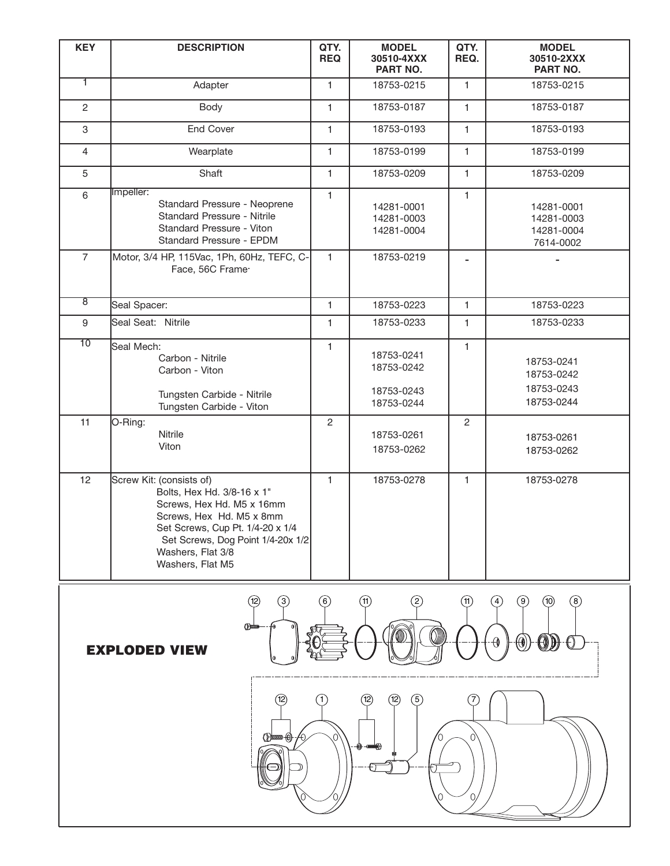| <b>KEY</b>      | <b>DESCRIPTION</b>                                                                                                                                                                                                                | QTY.<br><b>REQ</b> | <b>MODEL</b><br>30510-4XXX<br><b>PART NO.</b>        | QTY.<br>REQ.   | <b>MODEL</b><br>30510-2XXX<br>PART NO.               |
|-----------------|-----------------------------------------------------------------------------------------------------------------------------------------------------------------------------------------------------------------------------------|--------------------|------------------------------------------------------|----------------|------------------------------------------------------|
| T               | Adapter                                                                                                                                                                                                                           | $\mathbf{1}$       | 18753-0215                                           | $\mathbf{1}$   | 18753-0215                                           |
| $\mathbf{2}$    | Body                                                                                                                                                                                                                              | $\mathbf{1}$       | 18753-0187                                           | $\mathbf{1}$   | 18753-0187                                           |
| 3               | <b>End Cover</b>                                                                                                                                                                                                                  | $\mathbf{1}$       | 18753-0193                                           | $\mathbf{1}$   | 18753-0193                                           |
| $\overline{4}$  | Wearplate                                                                                                                                                                                                                         | $\mathbf{1}$       | 18753-0199                                           | $\mathbf{1}$   | 18753-0199                                           |
| 5               | Shaft                                                                                                                                                                                                                             | $\mathbf{1}$       | 18753-0209                                           | $\mathbf{1}$   | 18753-0209                                           |
| 6               | Impeller:<br>Standard Pressure - Neoprene<br>Standard Pressure - Nitrile<br>Standard Pressure - Viton<br>Standard Pressure - EPDM                                                                                                 | $\mathbf{1}$       | 14281-0001<br>14281-0003<br>14281-0004               | $\mathbf{1}$   | 14281-0001<br>14281-0003<br>14281-0004<br>7614-0002  |
| $\overline{7}$  | Motor, 3/4 HP, 115Vac, 1Ph, 60Hz, TEFC, C-<br>Face, 56C Frame <sup>.</sup>                                                                                                                                                        | $\mathbf{1}$       | 18753-0219                                           |                |                                                      |
| ह               | Seal Spacer:                                                                                                                                                                                                                      | $\mathbf{1}$       | 18753-0223                                           | $\mathbf{1}$   | 18753-0223                                           |
| 9               | Seal Seat: Nitrile                                                                                                                                                                                                                | $\mathbf{1}$       | 18753-0233                                           | $\mathbf{1}$   | 18753-0233                                           |
| $\overline{10}$ | Seal Mech:<br>Carbon - Nitrile<br>Carbon - Viton<br>Tungsten Carbide - Nitrile<br>Tungsten Carbide - Viton                                                                                                                        | $\mathbf{1}$       | 18753-0241<br>18753-0242<br>18753-0243<br>18753-0244 | $\mathbf{1}$   | 18753-0241<br>18753-0242<br>18753-0243<br>18753-0244 |
| 11              | O-Ring:<br>Nitrile<br>Viton                                                                                                                                                                                                       | $\overline{2}$     | 18753-0261<br>18753-0262                             | $\overline{2}$ | 18753-0261<br>18753-0262                             |
| 12              | Screw Kit: (consists of)<br>Bolts, Hex Hd. 3/8-16 x 1"<br>Screws, Hex Hd. M5 x 16mm<br>Screws, Hex Hd. M5 x 8mm<br>Set Screws, Cup Pt. 1/4-20 x 1/4<br>Set Screws, Dog Point 1/4-20x 1/2<br>Washers, Flat 3/8<br>Washers, Flat M5 | $\mathbf{1}$       | 18753-0278                                           | $\mathbf{1}$   | 18753-0278                                           |